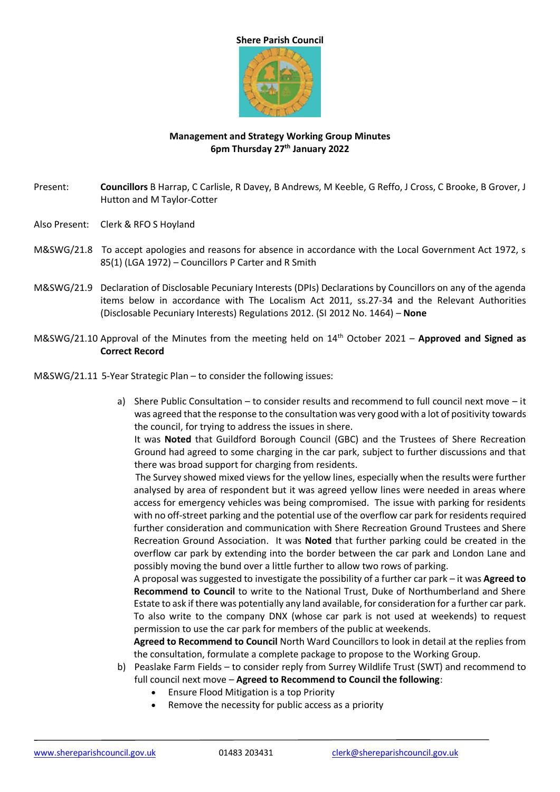## **Shere Parish Council**



## **Management and Strategy Working Group Minutes 6pm Thursday 27th January 2022**

- Present: **Councillors** B Harrap, C Carlisle, R Davey, B Andrews, M Keeble, G Reffo, J Cross, C Brooke, B Grover, J Hutton and M Taylor-Cotter
- Also Present: Clerk & RFO S Hoyland
- M&SWG/21.8 To accept apologies and reasons for absence in accordance with the Local Government Act 1972, s 85(1) (LGA 1972) – Councillors P Carter and R Smith
- M&SWG/21.9 Declaration of Disclosable Pecuniary Interests (DPIs) Declarations by Councillors on any of the agenda items below in accordance with The Localism Act 2011, ss.27-34 and the Relevant Authorities (Disclosable Pecuniary Interests) Regulations 2012. (SI 2012 No. 1464) – **None**
- M&SWG/21.10 Approval of the Minutes from the meeting held on 14th October 2021 **Approved and Signed as Correct Record**
- M&SWG/21.11 5-Year Strategic Plan to consider the following issues:
	- a) Shere Public Consultation to consider results and recommend to full council next move it was agreed that the response to the consultation was very good with a lot of positivity towards the council, for trying to address the issues in shere.

It was **Noted** that Guildford Borough Council (GBC) and the Trustees of Shere Recreation Ground had agreed to some charging in the car park, subject to further discussions and that there was broad support for charging from residents.

The Survey showed mixed views for the yellow lines, especially when the results were further analysed by area of respondent but it was agreed yellow lines were needed in areas where access for emergency vehicles was being compromised. The issue with parking for residents with no off-street parking and the potential use of the overflow car park for residents required further consideration and communication with Shere Recreation Ground Trustees and Shere Recreation Ground Association. It was **Noted** that further parking could be created in the overflow car park by extending into the border between the car park and London Lane and possibly moving the bund over a little further to allow two rows of parking.

A proposal was suggested to investigate the possibility of a further car park – it was **Agreed to Recommend to Council** to write to the National Trust, Duke of Northumberland and Shere Estate to ask if there was potentially any land available, for consideration for a further car park. To also write to the company DNX (whose car park is not used at weekends) to request permission to use the car park for members of the public at weekends.

**Agreed to Recommend to Council** North Ward Councillors to look in detail at the replies from the consultation, formulate a complete package to propose to the Working Group.

- b) Peaslake Farm Fields to consider reply from Surrey Wildlife Trust (SWT) and recommend to full council next move – **Agreed to Recommend to Council the following**:
	- Ensure Flood Mitigation is a top Priority
	- Remove the necessity for public access as a priority